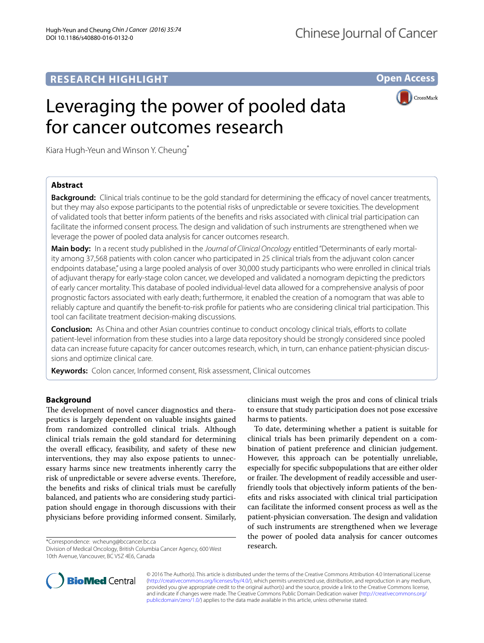## **RESEARCH HIGHLIGHT**

**Open Access**

# Leveraging the power of pooled data for cancer outcomes research



Kiara Hugh-Yeun and Winson Y. Cheung<sup>\*</sup>

## **Abstract**

**Background:** Clinical trials continue to be the gold standard for determining the efficacy of novel cancer treatments, but they may also expose participants to the potential risks of unpredictable or severe toxicities. The development of validated tools that better inform patients of the benefits and risks associated with clinical trial participation can facilitate the informed consent process. The design and validation of such instruments are strengthened when we leverage the power of pooled data analysis for cancer outcomes research.

**Main body:** In a recent study published in the *Journal of Clinical Oncology* entitled "Determinants of early mortal‑ ity among 37,568 patients with colon cancer who participated in 25 clinical trials from the adjuvant colon cancer endpoints database," using a large pooled analysis of over 30,000 study participants who were enrolled in clinical trials of adjuvant therapy for early-stage colon cancer, we developed and validated a nomogram depicting the predictors of early cancer mortality. This database of pooled individual-level data allowed for a comprehensive analysis of poor prognostic factors associated with early death; furthermore, it enabled the creation of a nomogram that was able to reliably capture and quantify the benefit-to-risk profile for patients who are considering clinical trial participation. This tool can facilitate treatment decision-making discussions.

**Conclusion:** As China and other Asian countries continue to conduct oncology clinical trials, efforts to collate patient-level information from these studies into a large data repository should be strongly considered since pooled data can increase future capacity for cancer outcomes research, which, in turn, can enhance patient-physician discussions and optimize clinical care.

**Keywords:** Colon cancer, Informed consent, Risk assessment, Clinical outcomes

### **Background**

The development of novel cancer diagnostics and therapeutics is largely dependent on valuable insights gained from randomized controlled clinical trials. Although clinical trials remain the gold standard for determining the overall efficacy, feasibility, and safety of these new interventions, they may also expose patients to unnecessary harms since new treatments inherently carry the risk of unpredictable or severe adverse events. Therefore, the benefits and risks of clinical trials must be carefully balanced, and patients who are considering study participation should engage in thorough discussions with their physicians before providing informed consent. Similarly,

\*Correspondence: wcheung@bccancer.bc.ca

Division of Medical Oncology, British Columbia Cancer Agency, 600 West 10th Avenue, Vancouver, BC V5Z 4E6, Canada

clinicians must weigh the pros and cons of clinical trials to ensure that study participation does not pose excessive harms to patients.

To date, determining whether a patient is suitable for clinical trials has been primarily dependent on a combination of patient preference and clinician judgement. However, this approach can be potentially unreliable, especially for specific subpopulations that are either older or frailer. The development of readily accessible and userfriendly tools that objectively inform patients of the benefits and risks associated with clinical trial participation can facilitate the informed consent process as well as the patient-physician conversation. The design and validation of such instruments are strengthened when we leverage the power of pooled data analysis for cancer outcomes research.



© 2016 The Author(s). This article is distributed under the terms of the Creative Commons Attribution 4.0 International License [\(http://creativecommons.org/licenses/by/4.0/\)](http://creativecommons.org/licenses/by/4.0/), which permits unrestricted use, distribution, and reproduction in any medium, provided you give appropriate credit to the original author(s) and the source, provide a link to the Creative Commons license, and indicate if changes were made. The Creative Commons Public Domain Dedication waiver ([http://creativecommons.org/](http://creativecommons.org/publicdomain/zero/1.0/) [publicdomain/zero/1.0/](http://creativecommons.org/publicdomain/zero/1.0/)) applies to the data made available in this article, unless otherwise stated.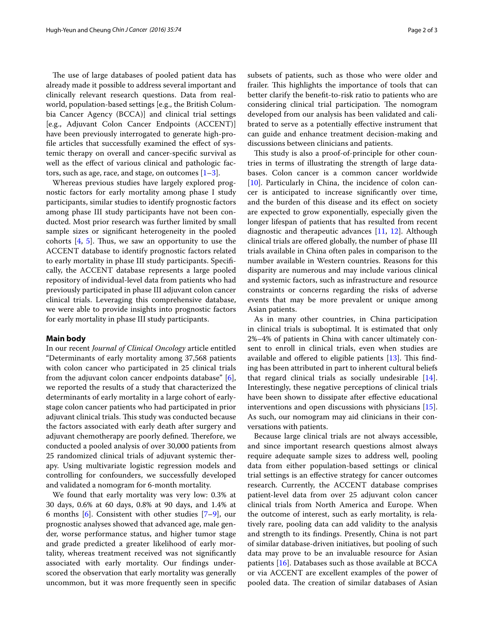The use of large databases of pooled patient data has already made it possible to address several important and clinically relevant research questions. Data from realworld, population-based settings [e.g., the British Columbia Cancer Agency (BCCA)] and clinical trial settings [e.g., Adjuvant Colon Cancer Endpoints (ACCENT)] have been previously interrogated to generate high-profile articles that successfully examined the effect of systemic therapy on overall and cancer-specific survival as well as the effect of various clinical and pathologic factors, such as age, race, and stage, on outcomes  $[1-3]$  $[1-3]$ .

Whereas previous studies have largely explored prognostic factors for early mortality among phase I study participants, similar studies to identify prognostic factors among phase III study participants have not been conducted. Most prior research was further limited by small sample sizes or significant heterogeneity in the pooled cohorts [[4,](#page-2-2) [5\]](#page-2-3). Thus, we saw an opportunity to use the ACCENT database to identify prognostic factors related to early mortality in phase III study participants. Specifically, the ACCENT database represents a large pooled repository of individual-level data from patients who had previously participated in phase III adjuvant colon cancer clinical trials. Leveraging this comprehensive database, we were able to provide insights into prognostic factors for early mortality in phase III study participants.

#### **Main body**

In our recent *Journal of Clinical Oncology* article entitled "Determinants of early mortality among 37,568 patients with colon cancer who participated in 25 clinical trials from the adjuvant colon cancer endpoints database" [\[6](#page-2-4)], we reported the results of a study that characterized the determinants of early mortality in a large cohort of earlystage colon cancer patients who had participated in prior adjuvant clinical trials. This study was conducted because the factors associated with early death after surgery and adjuvant chemotherapy are poorly defined. Therefore, we conducted a pooled analysis of over 30,000 patients from 25 randomized clinical trials of adjuvant systemic therapy. Using multivariate logistic regression models and controlling for confounders, we successfully developed and validated a nomogram for 6-month mortality.

We found that early mortality was very low: 0.3% at 30 days, 0.6% at 60 days, 0.8% at 90 days, and 1.4% at 6 months  $[6]$  $[6]$ . Consistent with other studies  $[7-9]$  $[7-9]$ , our prognostic analyses showed that advanced age, male gender, worse performance status, and higher tumor stage and grade predicted a greater likelihood of early mortality, whereas treatment received was not significantly associated with early mortality. Our findings underscored the observation that early mortality was generally uncommon, but it was more frequently seen in specific subsets of patients, such as those who were older and frailer. This highlights the importance of tools that can better clarify the benefit-to-risk ratio to patients who are considering clinical trial participation. The nomogram developed from our analysis has been validated and calibrated to serve as a potentially effective instrument that can guide and enhance treatment decision-making and discussions between clinicians and patients.

This study is also a proof-of-principle for other countries in terms of illustrating the strength of large databases. Colon cancer is a common cancer worldwide [[10\]](#page-2-7). Particularly in China, the incidence of colon cancer is anticipated to increase significantly over time, and the burden of this disease and its effect on society are expected to grow exponentially, especially given the longer lifespan of patients that has resulted from recent diagnostic and therapeutic advances [[11](#page-2-8), [12](#page-2-9)]. Although clinical trials are offered globally, the number of phase III trials available in China often pales in comparison to the number available in Western countries. Reasons for this disparity are numerous and may include various clinical and systemic factors, such as infrastructure and resource constraints or concerns regarding the risks of adverse events that may be more prevalent or unique among Asian patients.

As in many other countries, in China participation in clinical trials is suboptimal. It is estimated that only 2%–4% of patients in China with cancer ultimately consent to enroll in clinical trials, even when studies are available and offered to eligible patients [[13\]](#page-2-10). This finding has been attributed in part to inherent cultural beliefs that regard clinical trials as socially undesirable [\[14](#page-2-11)]. Interestingly, these negative perceptions of clinical trials have been shown to dissipate after effective educational interventions and open discussions with physicians [\[15](#page-2-12)]. As such, our nomogram may aid clinicians in their conversations with patients.

Because large clinical trials are not always accessible, and since important research questions almost always require adequate sample sizes to address well, pooling data from either population-based settings or clinical trial settings is an effective strategy for cancer outcomes research. Currently, the ACCENT database comprises patient-level data from over 25 adjuvant colon cancer clinical trials from North America and Europe. When the outcome of interest, such as early mortality, is relatively rare, pooling data can add validity to the analysis and strength to its findings. Presently, China is not part of similar database-driven initiatives, but pooling of such data may prove to be an invaluable resource for Asian patients [\[16](#page-2-13)]. Databases such as those available at BCCA or via ACCENT are excellent examples of the power of pooled data. The creation of similar databases of Asian